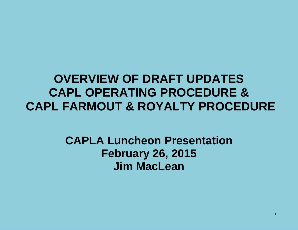# **OVERVIEW OF DRAFT UPDATES CAPL OPERATING PROCEDURE & CAPL FARMOUT & ROYALTY PROCEDURE**

# **CAPLA Luncheon Presentation February 26, 2015 Jim MacLean**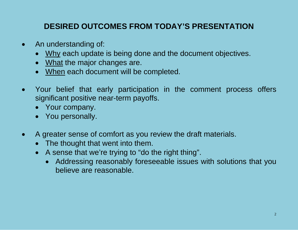### **DESIRED OUTCOMES FROM TODAY'S PRESENTATION**

- An understanding of:
	- Why each update is being done and the document objectives.
	- What the major changes are.
	- When each document will be completed.
- Your belief that early participation in the comment process offers significant positive near-term payoffs.
	- Your company.
	- You personally.
- A greater sense of comfort as you review the draft materials.
	- The thought that went into them.
	- A sense that we're trying to "do the right thing".
		- Addressing reasonably foreseeable issues with solutions that you believe are reasonable.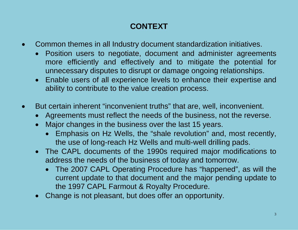# **CONTEXT**

- Common themes in all Industry document standardization initiatives.
	- Position users to negotiate, document and administer agreements more efficiently and effectively and to mitigate the potential for unnecessary disputes to disrupt or damage ongoing relationships.
	- Enable users of all experience levels to enhance their expertise and ability to contribute to the value creation process.
- But certain inherent "inconvenient truths" that are, well, inconvenient.
	- Agreements must reflect the needs of the business, not the reverse.
	- Major changes in the business over the last 15 years.
		- Emphasis on Hz Wells, the "shale revolution" and, most recently, the use of long-reach Hz Wells and multi-well drilling pads.
	- The CAPL documents of the 1990s required major modifications to address the needs of the business of today and tomorrow.
		- The 2007 CAPL Operating Procedure has "happened", as will the current update to that document and the major pending update to the 1997 CAPL Farmout & Royalty Procedure.
	- Change is not pleasant, but does offer an opportunity.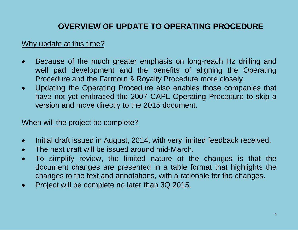### **OVERVIEW OF UPDATE TO OPERATING PROCEDURE**

#### Why update at this time?

- Because of the much greater emphasis on long-reach Hz drilling and well pad development and the benefits of aligning the Operating Procedure and the Farmout & Royalty Procedure more closely.
- Updating the Operating Procedure also enables those companies that have not yet embraced the 2007 CAPL Operating Procedure to skip a version and move directly to the 2015 document.

#### When will the project be complete?

- Initial draft issued in August, 2014, with very limited feedback received.
- The next draft will be issued around mid-March.
- To simplify review, the limited nature of the changes is that the document changes are presented in a table format that highlights the changes to the text and annotations, with a rationale for the changes.
- Project will be complete no later than 3Q 2015.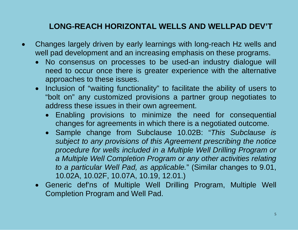#### **LONG-REACH HORIZONTAL WELLS AND WELLPAD DEV'T**

- Changes largely driven by early learnings with long-reach Hz wells and well pad development and an increasing emphasis on these programs.
	- No consensus on processes to be used-an industry dialogue will need to occur once there is greater experience with the alternative approaches to these issues.
	- Inclusion of "waiting functionality" to facilitate the ability of users to "bolt on" any customized provisions a partner group negotiates to address these issues in their own agreement.
		- Enabling provisions to minimize the need for consequential changes for agreements in which there is a negotiated outcome.
		- Sample change from Subclause 10.02B: "*This Subclause is subject to any provisions of this Agreement prescribing the notice procedure for wells included in a Multiple Well Drilling Program or a Multiple Well Completion Program or any other activities relating to a particular Well Pad, as applicable.*" (Similar changes to 9.01, 10.02A, 10.02F, 10.07A, 10.19, 12.01.)
	- Generic def'ns of Multiple Well Drilling Program, Multiple Well Completion Program and Well Pad.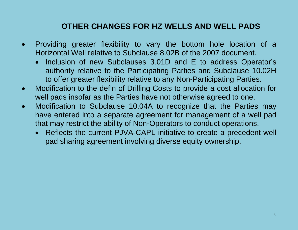#### **OTHER CHANGES FOR HZ WELLS AND WELL PADS**

- Providing greater flexibility to vary the bottom hole location of a Horizontal Well relative to Subclause 8.02B of the 2007 document.
	- Inclusion of new Subclauses 3.01D and E to address Operator's authority relative to the Participating Parties and Subclause 10.02H to offer greater flexibility relative to any Non-Participating Parties.
- Modification to the def'n of Drilling Costs to provide a cost allocation for well pads insofar as the Parties have not otherwise agreed to one.
- Modification to Subclause 10.04A to recognize that the Parties may have entered into a separate agreement for management of a well pad that may restrict the ability of Non-Operators to conduct operations.
	- Reflects the current PJVA-CAPL initiative to create a precedent well pad sharing agreement involving diverse equity ownership.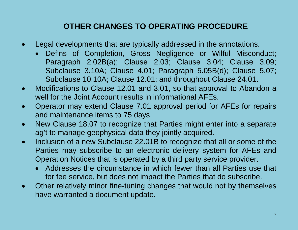### **OTHER CHANGES TO OPERATING PROCEDURE**

- Legal developments that are typically addressed in the annotations.
	- Def'ns of Completion, Gross Negligence or Wilful Misconduct; Paragraph 2.02B(a); Clause 2.03; Clause 3.04; Clause 3.09; Subclause 3.10A; Clause 4.01; Paragraph 5.05B(d); Clause 5.07; Subclause 10.10A; Clause 12.01; and throughout Clause 24.01.
- Modifications to Clause 12.01 and 3.01, so that approval to Abandon a well for the Joint Account results in informational AFEs.
- Operator may extend Clause 7.01 approval period for AFEs for repairs and maintenance items to 75 days.
- New Clause 18.07 to recognize that Parties might enter into a separate ag't to manage geophysical data they jointly acquired.
- Inclusion of a new Subclause 22.01B to recognize that all or some of the Parties may subscribe to an electronic delivery system for AFEs and Operation Notices that is operated by a third party service provider.
	- Addresses the circumstance in which fewer than all Parties use that for fee service, but does not impact the Parties that do subscribe.
- Other relatively minor fine-tuning changes that would not by themselves have warranted a document update.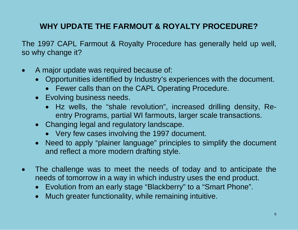### **WHY UPDATE THE FARMOUT & ROYALTY PROCEDURE?**

The 1997 CAPL Farmout & Royalty Procedure has generally held up well, so why change it?

- A major update was required because of:
	- Opportunities identified by Industry's experiences with the document.
		- Fewer calls than on the CAPL Operating Procedure.
	- Evolving business needs.
		- Hz wells, the "shale revolution", increased drilling density, Reentry Programs, partial WI farmouts, larger scale transactions.
	- Changing legal and regulatory landscape.
		- Very few cases involving the 1997 document.
	- Need to apply "plainer language" principles to simplify the document and reflect a more modern drafting style.
- The challenge was to meet the needs of today and to anticipate the needs of tomorrow in a way in which industry uses the end product.
	- Evolution from an early stage "Blackberry" to a "Smart Phone".
	- Much greater functionality, while remaining intuitive.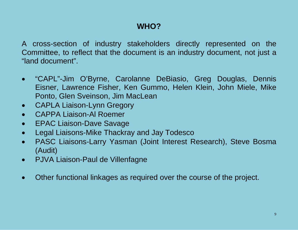### **WHO?**

A cross-section of industry stakeholders directly represented on the Committee, to reflect that the document is an industry document, not just a "land document".

- "CAPL"-Jim O'Byrne, Carolanne DeBiasio, Greg Douglas, Dennis Eisner, Lawrence Fisher, Ken Gummo, Helen Klein, John Miele, Mike Ponto, Glen Sveinson, Jim MacLean
- CAPLA Liaison-Lynn Gregory
- CAPPA Liaison-Al Roemer
- EPAC Liaison-Dave Savage
- Legal Liaisons-Mike Thackray and Jay Todesco
- PASC Liaisons-Larry Yasman (Joint Interest Research), Steve Bosma (Audit)
- PJVA Liaison-Paul de Villenfagne
- Other functional linkages as required over the course of the project.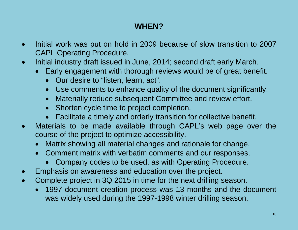# **WHEN?**

- Initial work was put on hold in 2009 because of slow transition to 2007 CAPL Operating Procedure.
- Initial industry draft issued in June, 2014; second draft early March.
	- Early engagement with thorough reviews would be of great benefit.
		- Our desire to "listen, learn, act".
		- Use comments to enhance quality of the document significantly.
		- Materially reduce subsequent Committee and review effort.
		- Shorten cycle time to project completion.
		- Facilitate a timely and orderly transition for collective benefit.
- Materials to be made available through CAPL's web page over the course of the project to optimize accessibility.
	- Matrix showing all material changes and rationale for change.
	- Comment matrix with verbatim comments and our responses.
		- Company codes to be used, as with Operating Procedure.
- Emphasis on awareness and education over the project.
- Complete project in 3Q 2015 in time for the next drilling season.
	- 1997 document creation process was 13 months and the document was widely used during the 1997-1998 winter drilling season.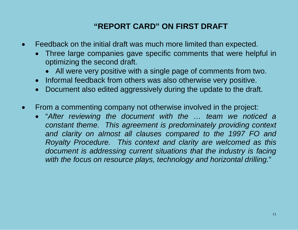### **"REPORT CARD" ON FIRST DRAFT**

- Feedback on the initial draft was much more limited than expected.
	- Three large companies gave specific comments that were helpful in optimizing the second draft.
		- All were very positive with a single page of comments from two.
	- Informal feedback from others was also otherwise very positive.
	- Document also edited aggressively during the update to the draft.
- From a commenting company not otherwise involved in the project:
	- "*After reviewing the document with the … team we noticed a constant theme. This agreement is predominately providing context and clarity on almost all clauses compared to the 1997 FO and Royalty Procedure. This context and clarity are welcomed as this document is addressing current situations that the industry is facing with the focus on resource plays, technology and horizontal drilling.*"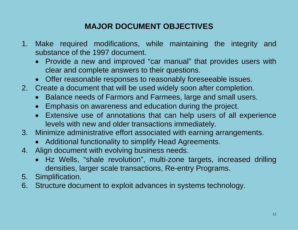## **MAJOR DOCUMENT OBJECTIVES**

- 1. Make required modifications, while maintaining the integrity and substance of the 1997 document.
	- Provide a new and improved "car manual" that provides users with clear and complete answers to their questions.
	- Offer reasonable responses to reasonably foreseeable issues.
- 2. Create a document that will be used widely soon after completion.
	- Balance needs of Farmors and Farmees, large and small users.
	- Emphasis on awareness and education during the project.
	- Extensive use of annotations that can help users of all experience levels with new and older transactions immediately.
- 3. Minimize administrative effort associated with earning arrangements.
	- Additional functionality to simplify Head Agreements.
- 4. Align document with evolving business needs.
	- Hz Wells, "shale revolution", multi-zone targets, increased drilling densities, larger scale transactions, Re-entry Programs.
- 5. Simplification.
- 6. Structure document to exploit advances in systems technology.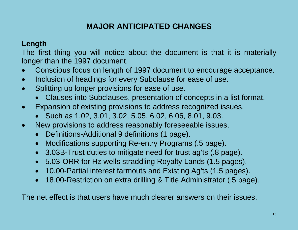#### **Length**

The first thing you will notice about the document is that it is materially longer than the 1997 document.

- Conscious focus on length of 1997 document to encourage acceptance.
- Inclusion of headings for every Subclause for ease of use.
- Splitting up longer provisions for ease of use.
	- Clauses into Subclauses, presentation of concepts in a list format.
- Expansion of existing provisions to address recognized issues.
	- Such as 1.02, 3.01, 3.02, 5.05, 6.02, 6.06, 8.01, 9.03.
- New provisions to address reasonably foreseeable issues.
	- Definitions-Additional 9 definitions (1 page).
	- Modifications supporting Re-entry Programs (.5 page).
	- 3.03B-Trust duties to mitigate need for trust ag'ts (.8 page).
	- 5.03-ORR for Hz wells straddling Royalty Lands (1.5 pages).
	- 10.00-Partial interest farmouts and Existing Ag'ts (1.5 pages).
	- 18.00-Restriction on extra drilling & Title Administrator (.5 page).

The net effect is that users have much clearer answers on their issues.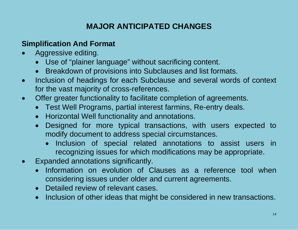#### **Simplification And Format**

- Aggressive editing.
	- Use of "plainer language" without sacrificing content.
	- Breakdown of provisions into Subclauses and list formats.
- Inclusion of headings for each Subclause and several words of context for the vast majority of cross-references.
- Offer greater functionality to facilitate completion of agreements.
	- Test Well Programs, partial interest farmins, Re-entry deals.
	- Horizontal Well functionality and annotations.
	- Designed for more typical transactions, with users expected to modify document to address special circumstances.
		- Inclusion of special related annotations to assist users in recognizing issues for which modifications may be appropriate.
- Expanded annotations significantly.
	- Information on evolution of Clauses as a reference tool when considering issues under older and current agreements.
	- Detailed review of relevant cases.
	- Inclusion of other ideas that might be considered in new transactions.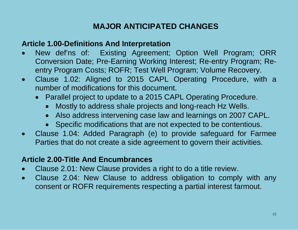#### **Article 1.00-Definitions And Interpretation**

- New def'ns of: Existing Agreement; Option Well Program; ORR Conversion Date; Pre-Earning Working Interest; Re-entry Program; Reentry Program Costs; ROFR; Test Well Program; Volume Recovery.
- Clause 1.02: Aligned to 2015 CAPL Operating Procedure, with a number of modifications for this document.
	- Parallel project to update to a 2015 CAPL Operating Procedure.
		- Mostly to address shale projects and long-reach Hz Wells.
		- Also address intervening case law and learnings on 2007 CAPL.
		- Specific modifications that are not expected to be contentious.
- Clause 1.04: Added Paragraph (e) to provide safeguard for Farmee Parties that do not create a side agreement to govern their activities.

#### **Article 2.00-Title And Encumbrances**

- Clause 2.01: New Clause provides a right to do a title review.
- Clause 2.04: New Clause to address obligation to comply with any consent or ROFR requirements respecting a partial interest farmout.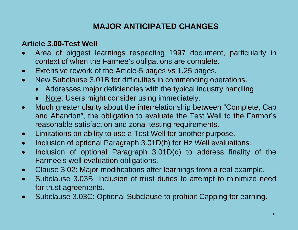#### **Article 3.00-Test Well**

- Area of biggest learnings respecting 1997 document, particularly in context of when the Farmee's obligations are complete.
- Extensive rework of the Article-5 pages vs 1.25 pages.
- New Subclause 3.01B for difficulties in commencing operations.
	- Addresses major deficiencies with the typical industry handling.
	- Note: Users might consider using immediately.
- Much greater clarity about the interrelationship between "Complete, Cap and Abandon", the obligation to evaluate the Test Well to the Farmor's reasonable satisfaction and zonal testing requirements.
- Limitations on ability to use a Test Well for another purpose.
- Inclusion of optional Paragraph 3.01D(b) for Hz Well evaluations.
- Inclusion of optional Paragraph 3.01D(d) to address finality of the Farmee's well evaluation obligations.
- Clause 3.02: Major modifications after learnings from a real example.
- Subclause 3.03B: Inclusion of trust duties to attempt to minimize need for trust agreements.
- Subclause 3.03C: Optional Subclause to prohibit Capping for earning.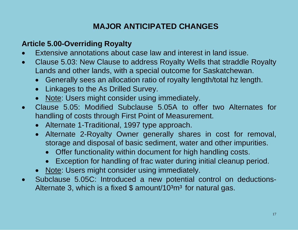#### **Article 5.00-Overriding Royalty**

- Extensive annotations about case law and interest in land issue.
- Clause 5.03: New Clause to address Royalty Wells that straddle Royalty Lands and other lands, with a special outcome for Saskatchewan.
	- Generally sees an allocation ratio of royalty length/total hz length.
	- Linkages to the As Drilled Survey.
	- Note: Users might consider using immediately.
- Clause 5.05: Modified Subclause 5.05A to offer two Alternates for handling of costs through First Point of Measurement.
	- Alternate 1-Traditional, 1997 type approach.
	- Alternate 2-Royalty Owner generally shares in cost for removal, storage and disposal of basic sediment, water and other impurities.
		- Offer functionality within document for high handling costs.
		- Exception for handling of frac water during initial cleanup period.
	- Note: Users might consider using immediately.
- Subclause 5.05C: Introduced a new potential control on deductions-Alternate 3, which is a fixed  $$$  amount/10 $3<sup>3</sup>$  for natural gas.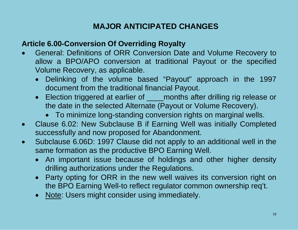#### **Article 6.00-Conversion Of Overriding Royalty**

- General: Definitions of ORR Conversion Date and Volume Recovery to allow a BPO/APO conversion at traditional Payout or the specified Volume Recovery, as applicable.
	- Delinking of the volume based "Payout" approach in the 1997 document from the traditional financial Payout.
	- Election triggered at earlier of **worm-months after drilling rig release or** the date in the selected Alternate (Payout or Volume Recovery).
		- To minimize long-standing conversion rights on marginal wells.
- Clause 6.02: New Subclause B if Earning Well was initially Completed successfully and now proposed for Abandonment.
- Subclause 6.06D: 1997 Clause did not apply to an additional well in the same formation as the productive BPO Earning Well.
	- An important issue because of holdings and other higher density drilling authorizations under the Regulations.
	- Party opting for ORR in the new well waives its conversion right on the BPO Earning Well-to reflect regulator common ownership req't.
	- Note: Users might consider using immediately.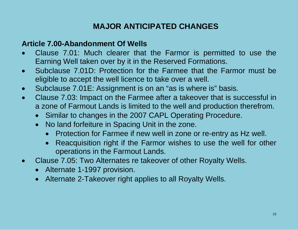#### **Article 7.00-Abandonment Of Wells**

- Clause 7.01: Much clearer that the Farmor is permitted to use the Earning Well taken over by it in the Reserved Formations.
- Subclause 7.01D: Protection for the Farmee that the Farmor must be eligible to accept the well licence to take over a well.
- Subclause 7.01E: Assignment is on an "as is where is" basis.
- Clause 7.03: Impact on the Farmee after a takeover that is successful in a zone of Farmout Lands is limited to the well and production therefrom.
	- Similar to changes in the 2007 CAPL Operating Procedure.
	- No land forfeiture in Spacing Unit in the zone.
		- Protection for Farmee if new well in zone or re-entry as Hz well.
		- Reacquisition right if the Farmor wishes to use the well for other operations in the Farmout Lands.
- Clause 7.05: Two Alternates re takeover of other Royalty Wells.
	- Alternate 1-1997 provision.
	- Alternate 2-Takeover right applies to all Royalty Wells.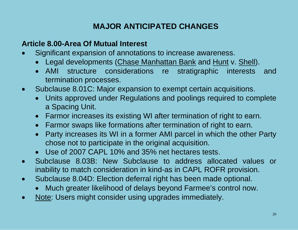#### **Article 8.00-Area Of Mutual Interest**

- Significant expansion of annotations to increase awareness.
	- Legal developments (Chase Manhattan Bank and Hunt v. Shell).
	- AMI structure considerations re stratigraphic interests and termination processes.
- Subclause 8.01C: Major expansion to exempt certain acquisitions.
	- Units approved under Regulations and poolings required to complete a Spacing Unit.
	- Farmor increases its existing WI after termination of right to earn.
	- Farmor swaps like formations after termination of right to earn.
	- Party increases its WI in a former AMI parcel in which the other Party chose not to participate in the original acquisition.
	- Use of 2007 CAPL 10% and 35% net hectares tests.
- Subclause 8.03B: New Subclause to address allocated values or inability to match consideration in kind-as in CAPL ROFR provision.
- Subclause 8.04D: Election deferral right has been made optional.
	- Much greater likelihood of delays beyond Farmee's control now.
- Note: Users might consider using upgrades immediately.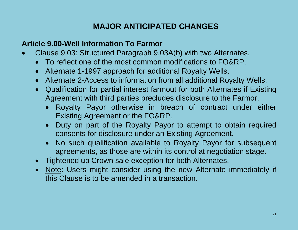#### **Article 9.00-Well Information To Farmor**

- Clause 9.03: Structured Paragraph 9.03A(b) with two Alternates.
	- To reflect one of the most common modifications to FO&RP.
	- Alternate 1-1997 approach for additional Royalty Wells.
	- Alternate 2-Access to information from all additional Royalty Wells.
	- Qualification for partial interest farmout for both Alternates if Existing Agreement with third parties precludes disclosure to the Farmor.
		- Royalty Payor otherwise in breach of contract under either Existing Agreement or the FO&RP.
		- Duty on part of the Royalty Payor to attempt to obtain required consents for disclosure under an Existing Agreement.
		- No such qualification available to Royalty Payor for subsequent agreements, as those are within its control at negotiation stage.
	- Tightened up Crown sale exception for both Alternates.
	- Note: Users might consider using the new Alternate immediately if this Clause is to be amended in a transaction.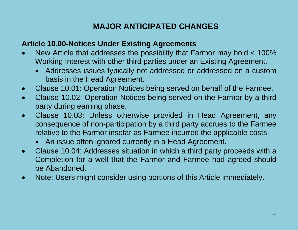#### **Article 10.00-Notices Under Existing Agreements**

- New Article that addresses the possibility that Farmor may hold < 100% Working Interest with other third parties under an Existing Agreement.
	- Addresses issues typically not addressed or addressed on a custom basis in the Head Agreement.
- Clause 10.01: Operation Notices being served on behalf of the Farmee.
- Clause 10.02: Operation Notices being served on the Farmor by a third party during earning phase.
- Clause 10.03: Unless otherwise provided in Head Agreement, any consequence of non-participation by a third party accrues to the Farmee relative to the Farmor insofar as Farmee incurred the applicable costs.
	- An issue often ignored currently in a Head Agreement.
- Clause 10.04: Addresses situation in which a third party proceeds with a Completion for a well that the Farmor and Farmee had agreed should be Abandoned.
- Note: Users might consider using portions of this Article immediately.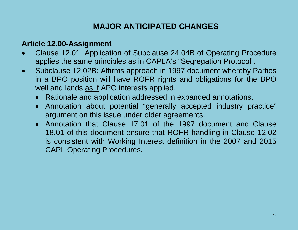#### **Article 12.00-Assignment**

- Clause 12.01: Application of Subclause 24.04B of Operating Procedure applies the same principles as in CAPLA's "Segregation Protocol".
- Subclause 12.02B: Affirms approach in 1997 document whereby Parties in a BPO position will have ROFR rights and obligations for the BPO well and lands as if APO interests applied.
	- Rationale and application addressed in expanded annotations.
	- Annotation about potential "generally accepted industry practice" argument on this issue under older agreements.
	- Annotation that Clause 17.01 of the 1997 document and Clause 18.01 of this document ensure that ROFR handling in Clause 12.02 is consistent with Working Interest definition in the 2007 and 2015 CAPL Operating Procedures.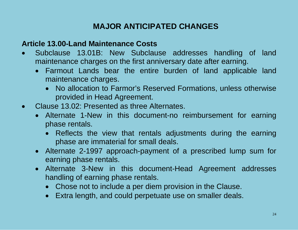#### **Article 13.00-Land Maintenance Costs**

- Subclause 13.01B: New Subclause addresses handling of land maintenance charges on the first anniversary date after earning.
	- Farmout Lands bear the entire burden of land applicable land maintenance charges.
		- No allocation to Farmor's Reserved Formations, unless otherwise provided in Head Agreement.
- Clause 13.02: Presented as three Alternates.
	- Alternate 1-New in this document-no reimbursement for earning phase rentals.
		- Reflects the view that rentals adjustments during the earning phase are immaterial for small deals.
	- Alternate 2-1997 approach-payment of a prescribed lump sum for earning phase rentals.
	- Alternate 3-New in this document-Head Agreement addresses handling of earning phase rentals.
		- Chose not to include a per diem provision in the Clause.
		- Extra length, and could perpetuate use on smaller deals.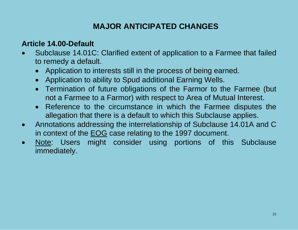#### **Article 14.00-Default**

- Subclause 14.01C: Clarified extent of application to a Farmee that failed to remedy a default.
	- Application to interests still in the process of being earned.
	- Application to ability to Spud additional Earning Wells.
	- Termination of future obligations of the Farmor to the Farmee (but not a Farmee to a Farmor) with respect to Area of Mutual Interest.
	- Reference to the circumstance in which the Farmee disputes the allegation that there is a default to which this Subclause applies.
- Annotations addressing the interrelationship of Subclause 14.01A and C in context of the EOG case relating to the 1997 document.
- Note: Users might consider using portions of this Subclause immediately.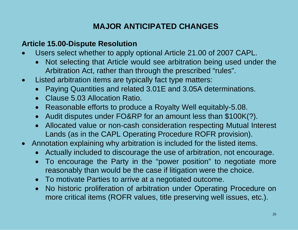#### **Article 15.00-Dispute Resolution**

- Users select whether to apply optional Article 21.00 of 2007 CAPL.
	- Not selecting that Article would see arbitration being used under the Arbitration Act, rather than through the prescribed "rules".
- Listed arbitration items are typically fact type matters:
	- Paying Quantities and related 3.01E and 3.05A determinations.
	- Clause 5.03 Allocation Ratio.
	- Reasonable efforts to produce a Royalty Well equitably-5.08.
	- Audit disputes under FO&RP for an amount less than \$100K(?).
	- Allocated value or non-cash consideration respecting Mutual Interest Lands (as in the CAPL Operating Procedure ROFR provision).
- Annotation explaining why arbitration is included for the listed items.
	- Actually included to discourage the use of arbitration, not encourage.
	- To encourage the Party in the "power position" to negotiate more reasonably than would be the case if litigation were the choice.
	- To motivate Parties to arrive at a negotiated outcome.
	- No historic proliferation of arbitration under Operating Procedure on more critical items (ROFR values, title preserving well issues, etc.).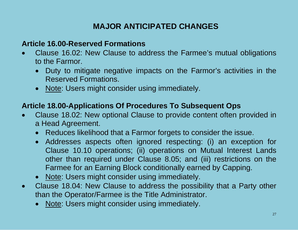#### **Article 16.00-Reserved Formations**

- Clause 16.02: New Clause to address the Farmee's mutual obligations to the Farmor.
	- Duty to mitigate negative impacts on the Farmor's activities in the Reserved Formations.
	- Note: Users might consider using immediately.

#### **Article 18.00-Applications Of Procedures To Subsequent Ops**

- Clause 18.02: New optional Clause to provide content often provided in a Head Agreement.
	- Reduces likelihood that a Farmor forgets to consider the issue.
	- Addresses aspects often ignored respecting: (i) an exception for Clause 10.10 operations; (ii) operations on Mutual Interest Lands other than required under Clause 8.05; and (iii) restrictions on the Farmee for an Earning Block conditionally earned by Capping.
	- Note: Users might consider using immediately.
- Clause 18.04: New Clause to address the possibility that a Party other than the Operator/Farmee is the Title Administrator.
	- Note: Users might consider using immediately.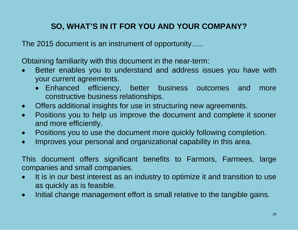# **SO, WHAT'S IN IT FOR YOU AND YOUR COMPANY?**

The 2015 document is an instrument of opportunity…..

Obtaining familiarity with this document in the near-term:

- Better enables you to understand and address issues you have with your current agreements.
	- Enhanced efficiency, better business outcomes and more constructive business relationships.
- Offers additional insights for use in structuring new agreements.
- Positions you to help us improve the document and complete it sooner and more efficiently.
- Positions you to use the document more quickly following completion.
- Improves your personal and organizational capability in this area.

This document offers significant benefits to Farmors, Farmees, large companies and small companies.

- It is in our best interest as an industry to optimize it and transition to use as quickly as is feasible.
- Initial change management effort is small relative to the tangible gains.